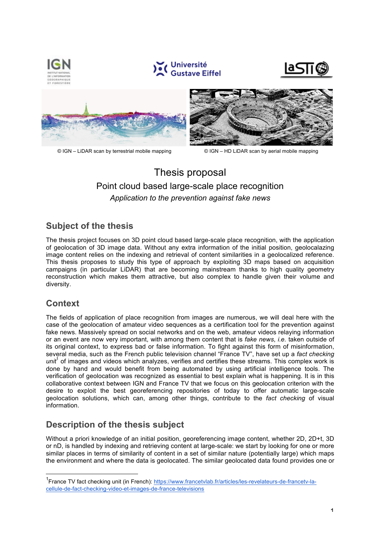

# Thesis proposal Point cloud based large-scale place recognition *Application to the prevention against fake news*

## **Subject of the thesis**

The thesis project focuses on 3D point cloud based large-scale place recognition, with the application of geolocation of 3D image data. Without any extra information of the initial position, geolocalazing image content relies on the indexing and retrieval of content similarities in a geolocalized reference. This thesis proposes to study this type of approach by exploiting 3D maps based on acquisition campaigns (in particular LiDAR) that are becoming mainstream thanks to high quality geometry reconstruction which makes them attractive, but also complex to handle given their volume and diversity.

### **Context**

The fields of application of place recognition from images are numerous, we will deal here with the case of the geolocation of amateur video sequences as a certification tool for the prevention against fake news. Massively spread on social networks and on the web, amateur videos relaying information or an event are now very important, with among them content that is *fake news*, *i.e.* taken outside of its original context, to express bad or false information. To fight against this form of misinformation, several media, such as the French public television channel "France TV", have set up a *fact checking unit*<sup>1</sup> of images and videos which analyzes, verifies and certifies these streams. This complex work is done by hand and would benefit from being automated by using artificial intelligence tools. The verification of geolocation was recognized as essential to best explain what is happening. It is in this collaborative context between IGN and France TV that we focus on this geolocation criterion with the desire to exploit the best georeferencing repositories of today to offer automatic large-scale geolocation solutions, which can, among other things, contribute to the *fact checking* of visual information.

## **Description of the thesis subject**

Without a priori knowledge of an initial position, georeferencing image content, whether 2D, 2D+t, 3D or nD, is handled by indexing and retrieving content at large-scale: we start by looking for one or more similar places in terms of similarity of content in a set of similar nature (potentially large) which maps the environment and where the data is geolocated. The similar geolocated data found provides one or

 <sup>1</sup> France TV fact checking unit (in French): https://www.francetvlab.fr/articles/les-revelateurs-de-francetv-lacellule-de-fact-checking-video-et-images-de-france-televisions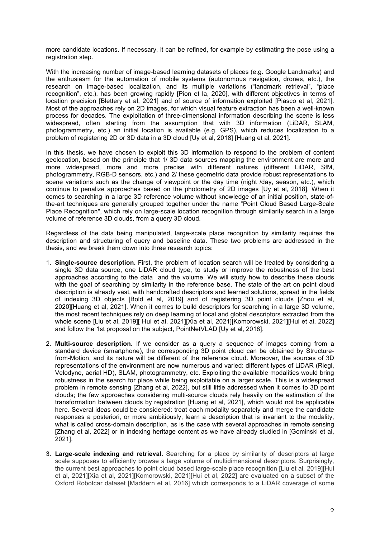more candidate locations. If necessary, it can be refined, for example by estimating the pose using a registration step.

With the increasing number of image-based learning datasets of places (e.g. Google Landmarks) and the enthusiasm for the automation of mobile systems (autonomous navigation, drones, etc.), the research on image-based localization, and its multiple variations ("landmark retrieval", "place recognition", etc.), has been growing rapidly [Pion et la, 2020], with different objectives in terms of location precision [Blettery et al, 2021] and of source of information exploited [Piasco et al, 2021]. Most of the approaches rely on 2D images, for which visual feature extraction has been a well-known process for decades. The exploitation of three-dimensional information describing the scene is less widespread, often starting from the assumption that with 3D information (LiDAR, SLAM, photogrammetry, etc.) an initial location is available (e.g. GPS), which reduces localization to a problem of registering 2D or 3D data in a 3D cloud [Uy et al, 2018] [Huang et al, 2021].

In this thesis, we have chosen to exploit this 3D information to respond to the problem of content geolocation, based on the principle that 1/ 3D data sources mapping the environment are more and more widespread, more and more precise with different natures (different LiDAR, SfM, photogrammetry, RGB-D sensors, etc.) and 2/ these geometric data provide robust representations to scene variations such as the change of viewpoint or the day time (night /day, season, etc.), which continue to penalize approaches based on the photometry of 2D images [Uy et al, 2018]. When it comes to searching in a large 3D reference volume without knowledge of an initial position, state-ofthe-art techniques are generally grouped together under the name "Point Cloud Based Large-Scale Place Recognition", which rely on large-scale location recognition through similarity search in a large volume of reference 3D clouds, from a query 3D cloud.

Regardless of the data being manipulated, large-scale place recognition by similarity requires the description and structuring of query and baseline data. These two problems are addressed in the thesis, and we break them down into three research topics:

- 1. **Single-source description.** First, the problem of location search will be treated by considering a single 3D data source, one LiDAR cloud type, to study or improve the robustness of the best approaches according to the data and the volume. We will study how to describe these clouds with the goal of searching by similarity in the reference base. The state of the art on point cloud description is already vast, with handcrafted descriptors and learned solutions, spread in the fields of indexing 3D objects [Bold et al, 2019] and of registering 3D point clouds [Zhou et al, 2020][Huang et al, 2021]. When it comes to build descriptors for searching in a large 3D volume, the most recent techniques rely on deep learning of local and global descriptors extracted from the whole scene [Liu et al, 2019][ Hui et al, 2021][Xia et al, 2021][Komorowski, 2021][Hui et al, 2022] and follow the 1st proposal on the subject, PointNetVLAD [Uy et al, 2018].
- 2. **Multi-source description.** If we consider as a query a sequence of images coming from a standard device (smartphone), the corresponding 3D point cloud can be obtained by Structurefrom-Motion, and its nature will be different of the reference cloud. Moreover, the sources of 3D representations of the environment are now numerous and varied: different types of LiDAR (Riegl, Velodyne, aerial HD), SLAM, photogrammetry, etc. Exploiting the available modalities would bring robustness in the search for place while being exploitable on a larger scale. This is a widespread problem in remote sensing [Zhang et al, 2022], but still little addressed when it comes to 3D point clouds; the few approaches considering multi-source clouds rely heavily on the estimation of the transformation between clouds by registration [Huang et al, 2021], which would not be applicable here. Several ideas could be considered: treat each modality separately and merge the candidate responses a posteriori, or more ambitiously, learn a description that is invariant to the modality, what is called cross-domain description, as is the case with several approaches in remote sensing [Zhang et al, 2022] or in indexing heritage content as we have already studied in [Gominski et al, 2021].
- 3. **Large-scale indexing and retrieval.** Searching for a place by similarity of descriptors at large scale supposes to efficiently browse a large volume of multidimensional descriptors. Surprisingly, the current best approaches to point cloud based large-scale place recognition [Liu et al, 2019][Hui et al, 2021][Xia et al, 2021][Komorowski, 2021][Hui et al, 2022] are evaluated on a subset of the Oxford Robotcar dataset [Maddern et al, 2016] which corresponds to a LiDAR coverage of some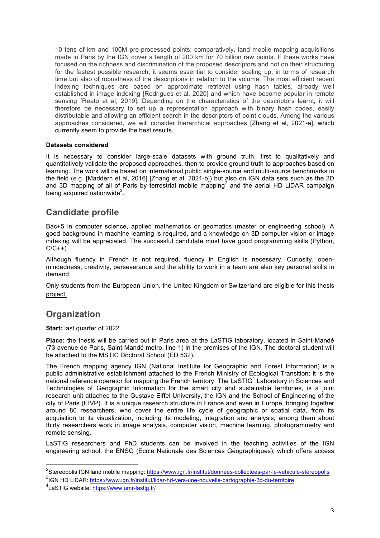10 tens of km and 100M pre-processed points; comparatively, land mobile mapping acquisitions made in Paris by the IGN cover a length of 200 km for 70 billion raw points. If these works have focused on the richness and discrimination of the proposed descriptors and not on their structuring for the fastest possible research, it seems essential to consider scaling up, in terms of research time but also of robustness of the descriptions in relation to the volume. The most efficient recent indexing techniques are based on approximate retrieval using hash tables, already well established in image indexing [Rodrigues et al, 2020] and which have become popular in remote sensing [Reato et al, 2019]. Depending on the characteristics of the descriptors learnt, it will therefore be necessary to set up a representation approach with binary hash codes, easily distributable and allowing an efficient search in the descriptors of point clouds. Among the various approaches considered, we will consider hierarchical approaches [Zhang et al, 2021-a], which currently seem to provide the best results.

#### **Datasets considered**

It is necessary to consider large-scale datasets with ground truth, first to qualitatively and quantitatively validate the proposed approaches, then to provide ground truth to approaches based on learning. The work will be based on international public single-source and multi-source benchmarks in the field (e.g. [Maddern et al, 2016] [Zhang et al, 2021-b]) but also on IGN data sets such as the 2D and 3D mapping of all of Paris by terrestrial mobile mapping<sup>2</sup> and the aerial HD LiDAR campaign being acquired nationwide<sup>3</sup>.

#### **Candidate profile**

Bac+5 in computer science, applied mathematics or geomatics (master or engineering school). A good background in machine learning is required, and a knowledge on 3D computer vision or image indexing will be appreciated. The successful candidate must have good programming skills (Python,  $C/C++$ ).

Although fluency in French is not required, fluency in English is necessary. Curiosity, openmindedness, creativity, perseverance and the ability to work in a team are also key personal skills in demand.

Only students from the European Union, the United Kingdom or Switzerland are eligible for this thesis project.

#### **Organization**

**Start:** last quarter of 2022

**Place:** the thesis will be carried out in Paris area at the LaSTIG laboratory, located in Saint-Mandé (73 avenue de Paris, Saint-Mandé metro, line 1) in the premises of the IGN. The doctoral student will be attached to the MSTIC Doctoral School (ED 532).

The French mapping agency IGN (National Institute for Geographic and Forest Information) is a public administrative establishment attached to the French Ministry of Ecological Transition; it is the national reference operator for mapping the French territory. The LaSTIG<sup>4</sup> Laboratory in Sciences and Technologies of Geographic Information for the smart city and sustainable territories, is a joint research unit attached to the Gustave Eiffel University, the IGN and the School of Engineering of the city of Paris (EIVP). It is a unique research structure in France and even in Europe, bringing together around 80 researchers, who cover the entire life cycle of geographic or spatial data, from its acquisition to its visualization, including its modeling, integration and analysis; among them about thirty researchers work in image analysis, computer vision, machine learning, photogrammetry and remote sensing.

LaSTIG researchers and PhD students can be involved in the teaching activities of the IGN engineering school, the ENSG (Ecole Nationale des Sciences Géographiques), which offers access

<sup>3</sup>IGN HD LiDAR: https://www.ign.fr/institut/lidar-hd-vers-une-nouvelle-cartographie-3d-du-territoire

 <sup>2</sup> Stereopolis IGN land mobile mapping: https://www.ign.fr/institut/donnees-collectees-par-le-vehicule-stereopolis

<sup>&</sup>lt;sup>4</sup>LaSTIG website: <u>https://www.umr-lastig.fr</u>/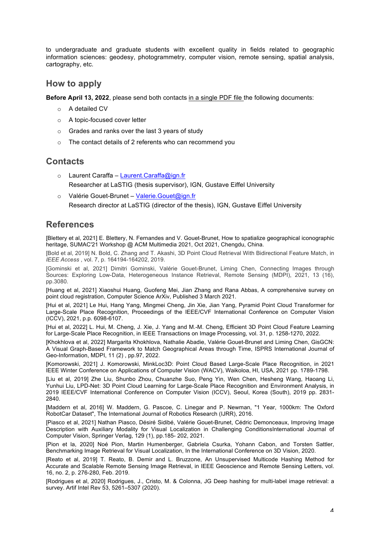to undergraduate and graduate students with excellent quality in fields related to geographic information sciences: geodesy, photogrammetry, computer vision, remote sensing, spatial analysis, cartography, etc.

#### **How to apply**

**Before April 13, 2022**, please send both contacts in a single PDF file the following documents:

- o A detailed CV
- o A topic-focused cover letter
- o Grades and ranks over the last 3 years of study
- o The contact details of 2 referents who can recommend you

#### **Contacts**

- o Laurent Caraffa Laurent.Caraffa@ign.fr Researcher at LaSTIG (thesis supervisor), IGN, Gustave Eiffel University
- o Valérie Gouet-Brunet Valerie.Gouet@ign.fr Research director at LaSTIG (director of the thesis), IGN, Gustave Eiffel University

### **References**

[Blettery et al, 2021] E. Blettery, N. Fernandes and V. Gouet-Brunet, How to spatialize geographical iconographic heritage, SUMAC'21 Workshop @ ACM Multimedia 2021, Oct 2021, Chengdu, China.

[Bold et al, 2019] N. Bold, C. Zhang and T. Akashi, 3D Point Cloud Retrieval With Bidirectional Feature Match, in *IEEE Access* , vol. 7, p. 164194-164202, 2019.

[Gominski et al, 2021] Dimitri Gominski, Valérie Gouet-Brunet, Liming Chen, Connecting Images through Sources: Exploring Low-Data, Heterogeneous Instance Retrieval, Remote Sensing (MDPI), 2021, 13 (16), pp.3080.

[Huang et al, 2021] Xiaoshui Huang, Guofeng Mei, Jian Zhang and Rana Abbas, A comprehensive survey on point cloud registration, Computer Science ArXiv, Published 3 March 2021.

[Hui et al, 2021] Le Hui, Hang Yang, Mingmei Cheng, Jin Xie, Jian Yang, Pyramid Point Cloud Transformer for Large-Scale Place Recognition, Proceedings of the IEEE/CVF International Conference on Computer Vision (ICCV), 2021, p.p. 6098-6107.

[Hui et al, 2022] L. Hui, M. Cheng, J. Xie, J. Yang and M.-M. Cheng, Efficient 3D Point Cloud Feature Learning for Large-Scale Place Recognition, in IEEE Transactions on Image Processing, vol. 31, p. 1258-1270, 2022.

[Khokhlova et al, 2022] Margarita Khokhlova, Nathalie Abadie, Valérie Gouet-Brunet and Liming Chen, GisGCN: A Visual Graph-Based Framework to Match Geographical Areas through Time, ISPRS International Journal of Geo-Information, MDPI, 11 (2) , pp.97, 2022.

[Komorowski, 2021] J. Komorowski, MinkLoc3D: Point Cloud Based Large-Scale Place Recognition, in 2021 IEEE Winter Conference on Applications of Computer Vision (WACV), Waikoloa, HI, USA, 2021 pp. 1789-1798.

[Liu et al, 2019] Zhe Liu, Shunbo Zhou, Chuanzhe Suo, Peng Yin, Wen Chen, Hesheng Wang, Haoang Li, Yunhui Liu, LPD-Net: 3D Point Cloud Learning for Large-Scale Place Recognition and Environment Analysis, in 2019 IEEE/CVF International Conference on Computer Vision (ICCV), Seoul, Korea (South), 2019 pp. 2831- 2840.

[Maddern et al, 2016] W. Maddern, G. Pascoe, C. Linegar and P. Newman, "1 Year, 1000km: The Oxford RobotCar Dataset", The International Journal of Robotics Research (IJRR), 2016.

[Piasco et al, 2021] Nathan Piasco, Désiré Sidibé, Valérie Gouet-Brunet, Cédric Demonceaux, Improving Image Description with Auxiliary Modality for Visual Localization in Challenging ConditionsInternational Journal of Computer Vision, Springer Verlag, 129 (1), pp.185- 202, 2021.

[Pion et la, 2020] Noé Pion, Martin Humenberger, Gabriela Csurka, Yohann Cabon, and Torsten Sattler, Benchmarking Image Retrieval for Visual Localization, In the International Conference on 3D Vision, 2020.

[Reato et al, 2019] T. Reato, B. Demir and L. Bruzzone, An Unsupervised Multicode Hashing Method for Accurate and Scalable Remote Sensing Image Retrieval, in IEEE Geoscience and Remote Sensing Letters, vol. 16, no. 2, p. 276-280, Feb. 2019.

[Rodrigues et al, 2020] Rodrigues, J., Cristo, M. & Colonna, JG Deep hashing for multi-label image retrieval: a survey. Artif Intel Rev 53, 5261–5307 (2020).